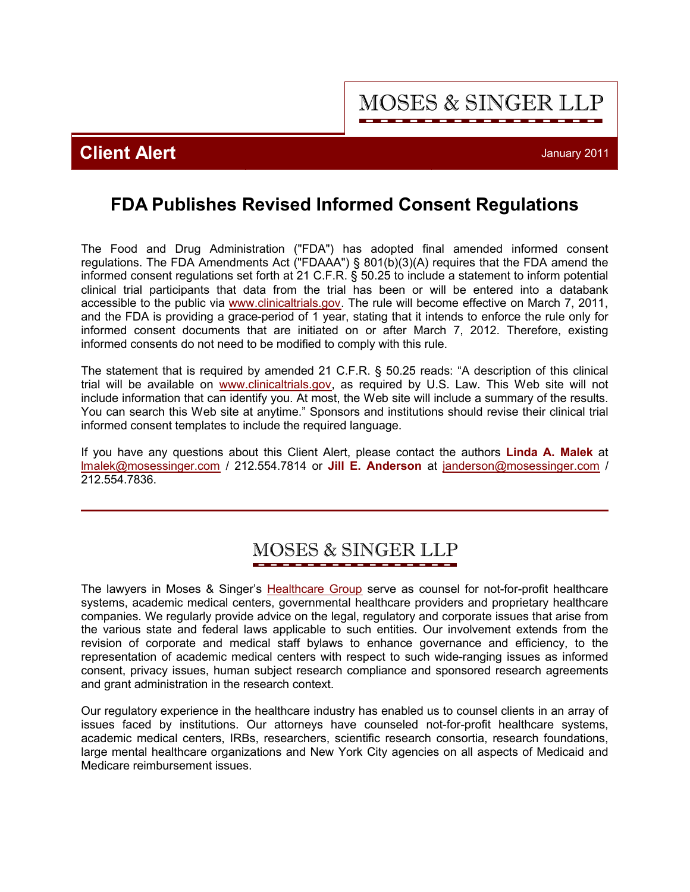**MOSES & SINGER LLP** 

**Client Alert** January 2011

## **FDA Publishes Revised Informed Consent Regulations**

The Food and Drug Administration ("FDA") has adopted final amended informed consent regulations. The FDA Amendments Act ("FDAAA") § 801(b)(3)(A) requires that the FDA amend the informed consent regulations set forth at 21 C.F.R. § 50.25 to include a statement to inform potential clinical trial participants that data from the trial has been or will be entered into a databank accessible to the public via <www.clinicaltrials.gov>. The rule will become effective on March 7, 2011, and the FDA is providing a grace-period of 1 year, stating that it intends to enforce the rule only for informed consent documents that are initiated on or after March 7, 2012. Therefore, existing informed consents do not need to be modified to comply with this rule.

The statement that is required by amended 21 C.F.R. § 50.25 reads: "A description of this clinical trial will be available on <www.clinicaltrials.gov>, as required by U.S. Law. This Web site will not include information that can identify you. At most, the Web site will include a summary of the results. You can search this Web site at anytime." Sponsors and institutions should revise their clinical trial informed consent templates to include the required language.

If you have any questions about this Client Alert, please contact the authors **[Linda A. Malek](http://www.mosessinger.com/personnel/lmalek/)** at lmalek@mosessinger.com / 212.554.7814 or **[Jill E. Anderson](http://www.mosessinger.com/personnel/janderson/)** at janderson@mosessinger.com / 212.554.7836.

# **MOSES & SINGER LLP**

The lawyers in Moses & Singer's [Healthcare Group](http://www.mosessinger.com/Healthcare/) serve as counsel for not-for-profit healthcare systems, academic medical centers, governmental healthcare providers and proprietary healthcare companies. We regularly provide advice on the legal, regulatory and corporate issues that arise from the various state and federal laws applicable to such entities. Our involvement extends from the revision of corporate and medical staff bylaws to enhance governance and efficiency, to the representation of academic medical centers with respect to such wide-ranging issues as informed consent, privacy issues, human subject research compliance and sponsored research agreements and grant administration in the research context.

Our regulatory experience in the healthcare industry has enabled us to counsel clients in an array of issues faced by institutions. Our attorneys have counseled not-for-profit healthcare systems, academic medical centers, IRBs, researchers, scientific research consortia, research foundations, large mental healthcare organizations and New York City agencies on all aspects of Medicaid and Medicare reimbursement issues.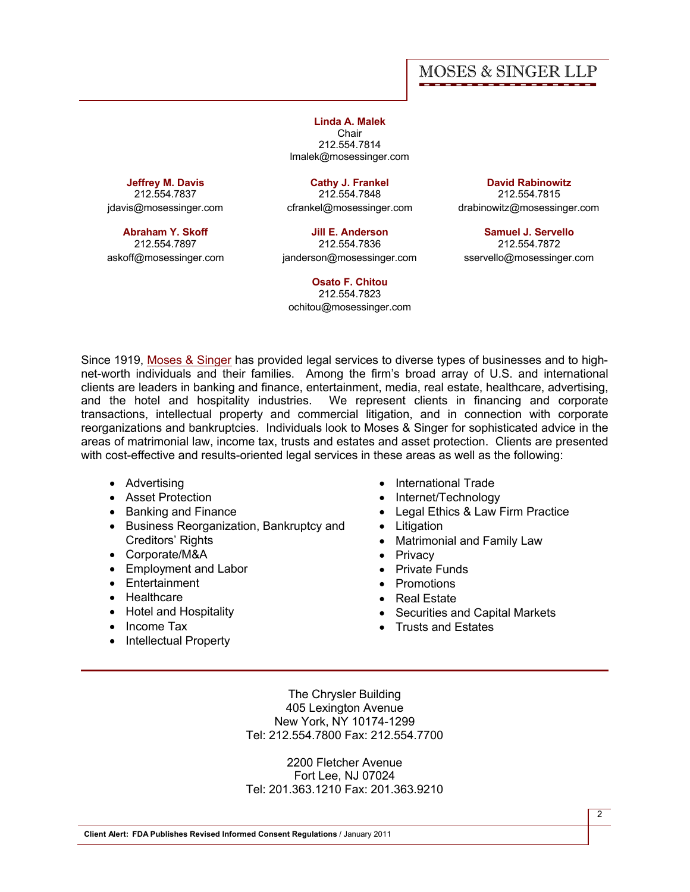## **MOSES & SINGER LLP**

**[Linda A. Malek](http://www.mosessinger.com/personnel/lmalek/) Chair** 212.554.7814 lmalek@mosessinger.com

**[Jeffrey M. Davis](http://www.mosessinger.com/personnel/jdavis/)**

212.554.7837 jdavis@mosessinger.com

**[Abraham Y. Skoff](http://www.mosessinger.com/personnel/askoff/)**

212.554.7897 askoff@mosessinger.com

**[Cathy J. Frankel](http://www.mosessinger.com/personnel/cfrankel/)** 212.554.7848 cfrankel@mosessinger.com

**[Jill E. Anderson](http://www.mosessinger.com/personnel/janderson/)** 212.554.7836 janderson@mosessinger.com

**[Osato F. Chitou](http://www.mosessinger.com/personnel/ochitou/)** 212.554.7823 ochitou@mosessinger.com

**[David Rabinowitz](http://www.mosessinger.com/personnel/drabinowitz/)** 212.554.7815 drabinowitz@mosessinger.com

**[Samuel J. Servello](http://www.mosessinger.com/personnel/sservello/)** 212.554.7872 sservello@mosessinger.com

Since 1919, [Moses & Singer](http://www.mosessinger.com/firm_profile/firm_description.php) has provided legal services to diverse types of businesses and to highnet-worth individuals and their families. Among the firm's broad array of U.S. and international clients are leaders in banking and finance, entertainment, media, real estate, healthcare, advertising, and the hotel and hospitality industries. We represent clients in financing and corporate We represent clients in financing and corporate transactions, intellectual property and commercial litigation, and in connection with corporate reorganizations and bankruptcies. Individuals look to Moses & Singer for sophisticated advice in the areas of matrimonial law, income tax, trusts and estates and asset protection. Clients are presented with cost-effective and results-oriented legal services in these areas as well as the following:

- · Advertising
- · Asset Protection
- · Banking and Finance
- · Business Reorganization, Bankruptcy and Creditors' Rights
- · Corporate/M&A
- · Employment and Labor
- · Entertainment
- · Healthcare
- · Hotel and Hospitality
- · Income Tax
- Intellectual Property
- · International Trade
- Internet/Technology
- · Legal Ethics & Law Firm Practice
- · Litigation
- · Matrimonial and Family Law
- · Privacy
- · Private Funds
- · Promotions
- · Real Estate
- · Securities and Capital Markets
- · Trusts and Estates

The Chrysler Building 405 Lexington Avenue New York, NY 10174-1299 Tel: 212.554.7800 Fax: 212.554.7700

2200 Fletcher Avenue Fort Lee, NJ 07024 Tel: 201.363.1210 Fax: 201.363.9210